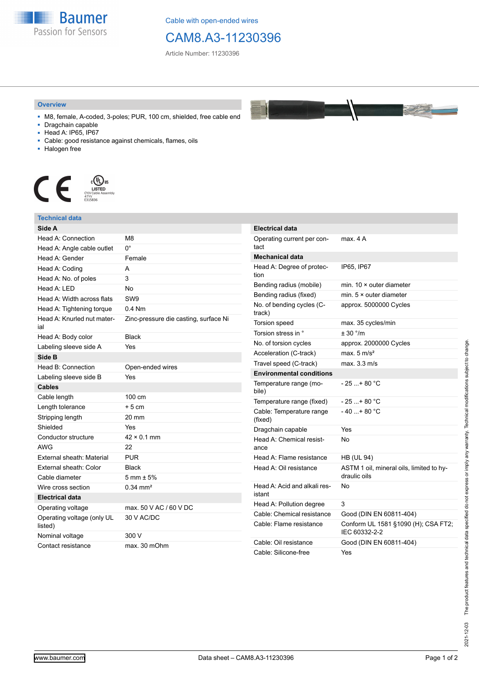

Cable with open-ended wires

## CAM8.A3-11230396

Article Number: 11230396

## **Overview**

- M8, female, A-coded, 3-poles; PUR, 100 cm, shielded, free cable end
- Dragchain capable
- Head A: IP65, IP67
- Cable: good resistance against chemicals, flames, oils
- Halogen free



## **Technical data**

| Side A                                |                                       |
|---------------------------------------|---------------------------------------|
| Head A: Connection                    | M8                                    |
| Head A: Angle cable outlet            | 0°                                    |
| Head A: Gender                        | Female                                |
| Head A: Coding                        | A                                     |
| Head A: No. of poles                  | 3                                     |
| Head A: LED                           | <b>No</b>                             |
| Head A: Width across flats            | SW <sub>9</sub>                       |
| Head A: Tightening torque             | $0.4$ Nm                              |
| Head A: Knurled nut mater-<br>ial     | Zinc-pressure die casting, surface Ni |
| Head A: Body color                    | <b>Black</b>                          |
| Labeling sleeve side A                | Yes                                   |
| Side B                                |                                       |
| Head B: Connection                    | Open-ended wires                      |
| Labeling sleeve side B                | Yes                                   |
| <b>Cables</b>                         |                                       |
| Cable length                          | 100 cm                                |
| Length tolerance                      | $+5cm$                                |
| Stripping length                      | 20 mm                                 |
| Shielded                              | Yes                                   |
| Conductor structure                   | $42 \times 0.1$ mm                    |
| AWG                                   | 22                                    |
| External sheath: Material             | <b>PUR</b>                            |
| External sheath: Color                | <b>Black</b>                          |
| Cable diameter                        | $5 \text{ mm} \pm 5\%$                |
| Wire cross section                    | $0.34$ mm <sup>2</sup>                |
| <b>Electrical data</b>                |                                       |
| Operating voltage                     | max, 50 V AC / 60 V DC                |
| Operating voltage (only UL<br>listed) | 30 V AC/DC                            |
| Nominal voltage                       | 300 V                                 |
| Contact resistance                    | max. 30 mOhm                          |

| <b>Electrical data</b>                 |                                                          |
|----------------------------------------|----------------------------------------------------------|
| Operating current per con-<br>tact     | max. 4 A                                                 |
| <b>Mechanical data</b>                 |                                                          |
| Head A: Degree of protec-<br>tion      | IP65, IP67                                               |
| Bending radius (mobile)                | min. $10 \times$ outer diameter                          |
| Bending radius (fixed)                 | min. $5 \times$ outer diameter                           |
| No. of bending cycles (C-<br>track)    | approx. 5000000 Cycles                                   |
| Torsion speed                          | max. 35 cycles/min                                       |
| Torsion stress in °                    | $+30$ $^{\circ}$ /m                                      |
| No. of torsion cycles                  | approx. 2000000 Cycles                                   |
| Acceleration (C-track)                 | max. $5 \text{ m/s}^2$                                   |
| Travel speed (C-track)                 | max. 3.3 m/s                                             |
| <b>Environmental conditions</b>        |                                                          |
| Temperature range (mo-<br>bile)        | - 25 + 80 °C                                             |
| Temperature range (fixed)              | $-25+80 °C$                                              |
| Cable: Temperature range<br>(fixed)    | $-40+80 °C$                                              |
| Dragchain capable                      | Yes                                                      |
| Head A: Chemical resist-<br>ance       | No                                                       |
| Head A: Flame resistance               | <b>HB (UL 94)</b>                                        |
| Head A: Oil resistance                 | ASTM 1 oil, mineral oils, limited to hy-<br>draulic oils |
| Head A: Acid and alkali res-<br>istant | No                                                       |
| Head A: Pollution degree               | 3                                                        |
| Cable: Chemical resistance             | Good (DIN EN 60811-404)                                  |
| Cable: Flame resistance                | Conform UL 1581 §1090 (H); CSA FT2;<br>IEC 60332-2-2     |
| Cable: Oil resistance                  | Good (DIN EN 60811-404)                                  |
| Cable: Silicone-free                   | Yes                                                      |

**Registration**